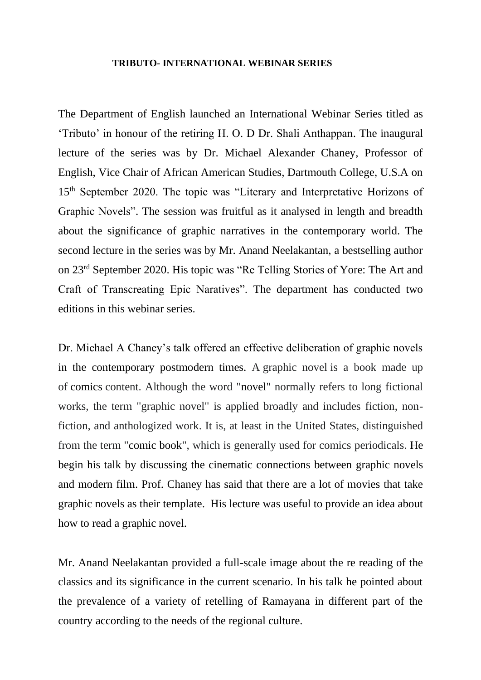### **TRIBUTO- INTERNATIONAL WEBINAR SERIES**

The Department of English launched an International Webinar Series titled as 'Tributo' in honour of the retiring H. O. D Dr. Shali Anthappan. The inaugural lecture of the series was by Dr. Michael Alexander Chaney, Professor of English, Vice Chair of African American Studies, Dartmouth College, U.S.A on 15<sup>th</sup> September 2020. The topic was "Literary and Interpretative Horizons of Graphic Novels". The session was fruitful as it analysed in length and breadth about the significance of graphic narratives in the contemporary world. The second lecture in the series was by Mr. Anand Neelakantan, a bestselling author on 23rd September 2020. His topic was "Re Telling Stories of Yore: The Art and Craft of Transcreating Epic Naratives". The department has conducted two editions in this webinar series.

Dr. Michael A Chaney's talk offered an effective deliberation of graphic novels in the contemporary postmodern times. A graphic novel is a book made up of comics content. Although the word "novel" normally refers to long fictional works, the term "graphic novel" is applied broadly and includes fiction, nonfiction, and anthologized work. It is, at least in the United States, distinguished from the term "comic book", which is generally used for comics periodicals. He begin his talk by discussing the cinematic connections between graphic novels and modern film. Prof. Chaney has said that there are a lot of movies that take graphic novels as their template. His lecture was useful to provide an idea about how to read a graphic novel.

Mr. Anand Neelakantan provided a full-scale image about the re reading of the classics and its significance in the current scenario. In his talk he pointed about the prevalence of a variety of retelling of Ramayana in different part of the country according to the needs of the regional culture.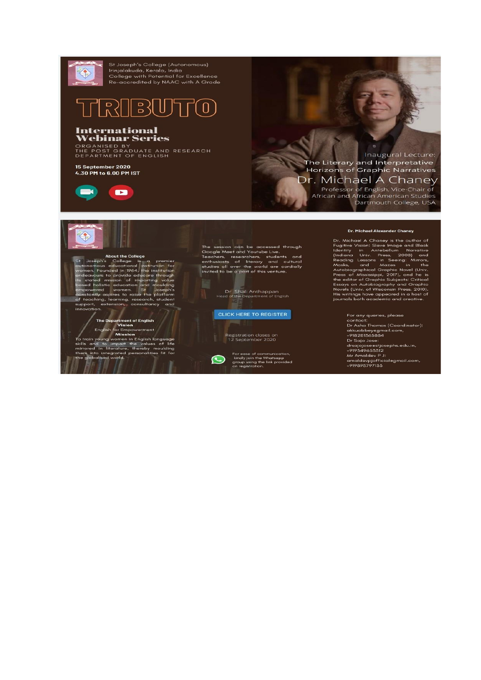

Inaugural Lecture: The Literary and Interpretative **Horizons of Graphic Narratives** Dr. Michael A Chaney

Professor of English, Vice-Chair of<br>African and African American Studies<br>Dartmouth College, USA

# $\begin{tabular}{ll} \textbf{About the College} & \textbf{1} & \textbf{1} & \textbf{1} & \textbf{1} & \textbf{1} & \textbf{1} & \textbf{1} & \textbf{1} & \textbf{1} & \textbf{1} & \textbf{1} & \textbf{1} & \textbf{1} & \textbf{1} & \textbf{1} & \textbf{1} & \textbf{1} & \textbf{1} & \textbf{1} & \textbf{1} & \textbf{1} & \textbf{1} & \textbf{1} & \textbf{1} & \textbf{1} & \textbf{1} & \textbf{1} & \textbf{1} & \textbf{1} &$ innovation

The Department of English<br>English Krain of The Mission<br>To train young women in English language<br>skills and to impart the values of life<br>mirrored in literature, thereby moulding<br>them into integrated personalities fit for<br>th

CLICK HERE TO REGISTER

Registration closes on<br>12 September 2020

For ease of communication,<br>kindly join the Whatsapp<br>group using the link provided<br>on registration.  $\odot$ 

#### Dr. Michael Alexander Chaney

ur. minister Marian Charles and Black Charles Scheme Scheme Scheme Scheme Scheme Scheme Scheme Scheme Scheme Scheme Scheme Scheme Scheme Scheme Scheme Scheme Scheme Scheme Scheme Scheme Scheme Scheme Scheme Scheme Scheme S

For any queries, please

contact:<br>Dr Asha Thomas (Coordinator):<br>akkuabbeyegmail.com,<br>+918281365884 Dr Sajo Jose: drsajojose@stjosephs.edu.in,<br>+919349653312 +71754+7003012<br>| Amaldev P J:<br>| amaldevpjofficial@gmail.com,<br>| 4919895797133